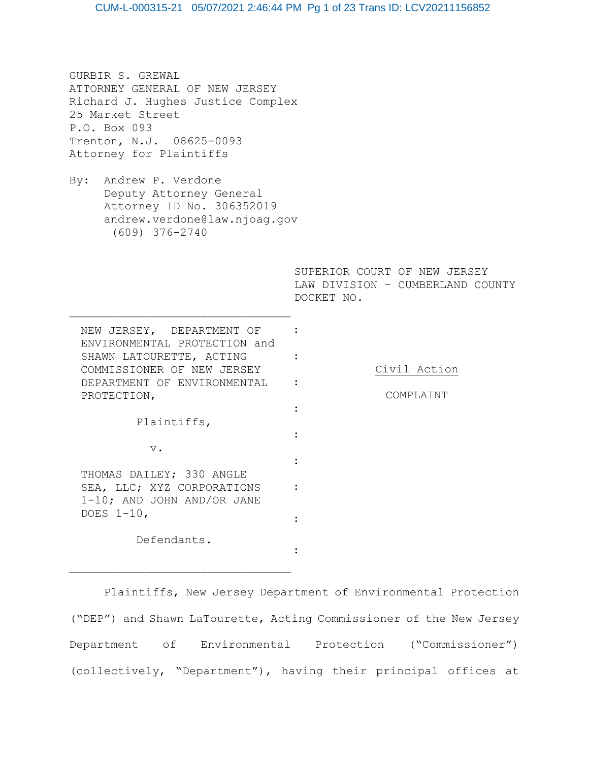GURBIR S. GREWAL ATTORNEY GENERAL OF NEW JERSEY Richard J. Hughes Justice Complex 25 Market Street P.O. Box 093 Trenton, N.J. 08625-0093 Attorney for Plaintiffs

By: Andrew P. Verdone Deputy Attorney General Attorney ID No. 306352019 andrew.verdone@law.njoag.gov (609) 376-2740

> SUPERIOR COURT OF NEW JERSEY LAW DIVISION – CUMBERLAND COUNTY DOCKET NO.

| NEW JERSEY, DEPARTMENT OF<br>ENVIRONMENTAL PROTECTION and |  |
|-----------------------------------------------------------|--|
| SHAWN LATOURETTE, ACTING<br>COMMISSIONER OF NEW JERSEY    |  |
| DEPARTMENT OF ENVIRONMENTAL<br>PROTECTION,                |  |
| Plaintiffs,                                               |  |
| $V$ .                                                     |  |
| THOMAS DAILEY; 330 ANGLE                                  |  |
| SEA, LLC; XYZ CORPORATIONS<br>1-10; AND JOHN AND/OR JANE  |  |
| DOES 1-10,                                                |  |
| Defendants.                                               |  |

Civil Action

COMPLAINT

Plaintiffs, New Jersey Department of Environmental Protection ("DEP") and Shawn LaTourette, Acting Commissioner of the New Jersey Department of Environmental Protection ("Commissioner") (collectively, "Department"), having their principal offices at

: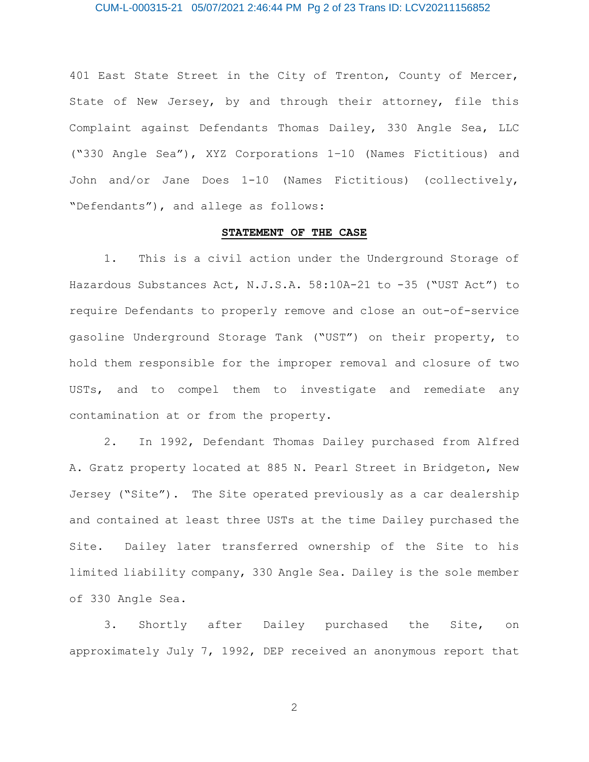### CUM-L-000315-21 05/07/2021 2:46:44 PM Pg 2 of 23 Trans ID: LCV20211156852

401 East State Street in the City of Trenton, County of Mercer, State of New Jersey, by and through their attorney, file this Complaint against Defendants Thomas Dailey, 330 Angle Sea, LLC ("330 Angle Sea"), XYZ Corporations 1–10 (Names Fictitious) and John and/or Jane Does 1-10 (Names Fictitious) (collectively, "Defendants"), and allege as follows:

### **STATEMENT OF THE CASE**

1. This is a civil action under the Underground Storage of Hazardous Substances Act, N.J.S.A. 58:10A-21 to -35 ("UST Act") to require Defendants to properly remove and close an out-of-service gasoline Underground Storage Tank ("UST") on their property, to hold them responsible for the improper removal and closure of two USTs, and to compel them to investigate and remediate any contamination at or from the property.

2. In 1992, Defendant Thomas Dailey purchased from Alfred A. Gratz property located at 885 N. Pearl Street in Bridgeton, New Jersey ("Site"). The Site operated previously as a car dealership and contained at least three USTs at the time Dailey purchased the Site. Dailey later transferred ownership of the Site to his limited liability company, 330 Angle Sea. Dailey is the sole member of 330 Angle Sea.

3. Shortly after Dailey purchased the Site, on approximately July 7, 1992, DEP received an anonymous report that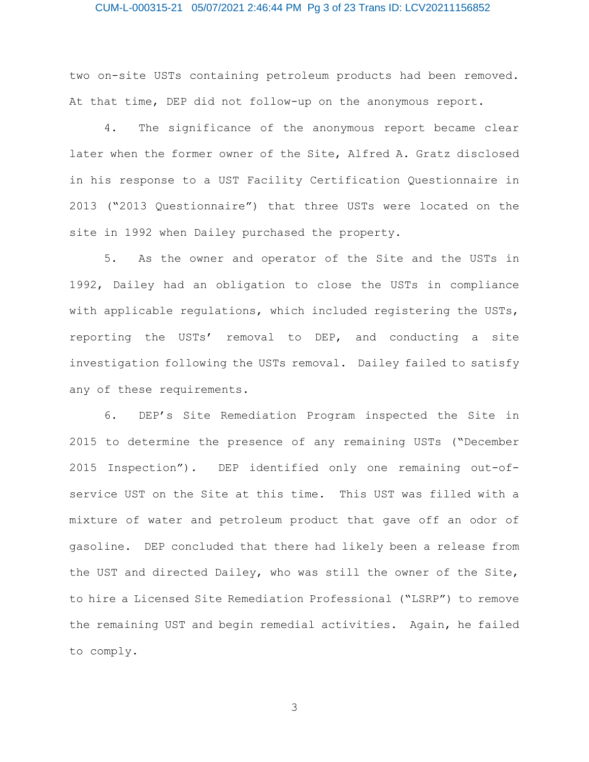### CUM-L-000315-21 05/07/2021 2:46:44 PM Pg 3 of 23 Trans ID: LCV20211156852

two on-site USTs containing petroleum products had been removed. At that time, DEP did not follow-up on the anonymous report.

4. The significance of the anonymous report became clear later when the former owner of the Site, Alfred A. Gratz disclosed in his response to a UST Facility Certification Questionnaire in 2013 ("2013 Questionnaire") that three USTs were located on the site in 1992 when Dailey purchased the property.

5. As the owner and operator of the Site and the USTs in 1992, Dailey had an obligation to close the USTs in compliance with applicable regulations, which included registering the USTs, reporting the USTs' removal to DEP, and conducting a site investigation following the USTs removal. Dailey failed to satisfy any of these requirements.

6. DEP's Site Remediation Program inspected the Site in 2015 to determine the presence of any remaining USTs ("December 2015 Inspection"). DEP identified only one remaining out-ofservice UST on the Site at this time. This UST was filled with a mixture of water and petroleum product that gave off an odor of gasoline. DEP concluded that there had likely been a release from the UST and directed Dailey, who was still the owner of the Site, to hire a Licensed Site Remediation Professional ("LSRP") to remove the remaining UST and begin remedial activities. Again, he failed to comply.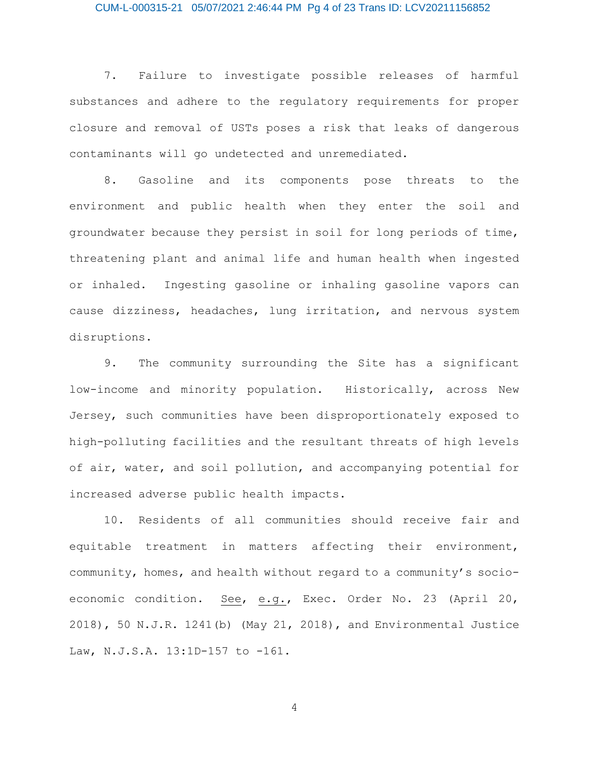### CUM-L-000315-21 05/07/2021 2:46:44 PM Pg 4 of 23 Trans ID: LCV20211156852

7. Failure to investigate possible releases of harmful substances and adhere to the regulatory requirements for proper closure and removal of USTs poses a risk that leaks of dangerous contaminants will go undetected and unremediated.

8. Gasoline and its components pose threats to the environment and public health when they enter the soil and groundwater because they persist in soil for long periods of time, threatening plant and animal life and human health when ingested or inhaled. Ingesting gasoline or inhaling gasoline vapors can cause dizziness, headaches, lung irritation, and nervous system disruptions.

9. The community surrounding the Site has a significant low-income and minority population. Historically, across New Jersey, such communities have been disproportionately exposed to high-polluting facilities and the resultant threats of high levels of air, water, and soil pollution, and accompanying potential for increased adverse public health impacts.

10. Residents of all communities should receive fair and equitable treatment in matters affecting their environment, community, homes, and health without regard to a community's socioeconomic condition. See, e.g., Exec. Order No. 23 (April 20, 2018), 50 N.J.R. 1241(b) (May 21, 2018), and Environmental Justice Law, N.J.S.A. 13:1D-157 to -161.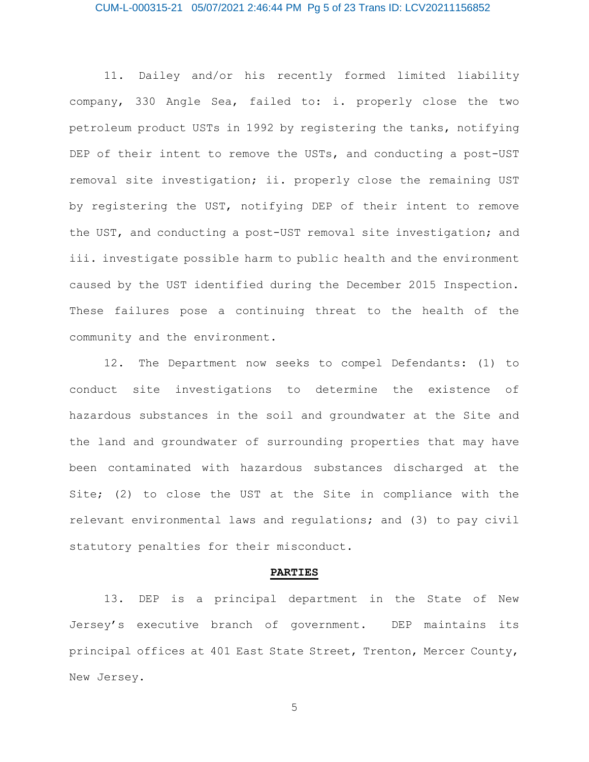### CUM-L-000315-21 05/07/2021 2:46:44 PM Pg 5 of 23 Trans ID: LCV20211156852

11. Dailey and/or his recently formed limited liability company, 330 Angle Sea, failed to: i. properly close the two petroleum product USTs in 1992 by registering the tanks, notifying DEP of their intent to remove the USTs, and conducting a post-UST removal site investigation; ii. properly close the remaining UST by registering the UST, notifying DEP of their intent to remove the UST, and conducting a post-UST removal site investigation; and iii. investigate possible harm to public health and the environment caused by the UST identified during the December 2015 Inspection. These failures pose a continuing threat to the health of the community and the environment.

12. The Department now seeks to compel Defendants: (1) to conduct site investigations to determine the existence of hazardous substances in the soil and groundwater at the Site and the land and groundwater of surrounding properties that may have been contaminated with hazardous substances discharged at the Site; (2) to close the UST at the Site in compliance with the relevant environmental laws and regulations; and (3) to pay civil statutory penalties for their misconduct.

#### **PARTIES**

13. DEP is a principal department in the State of New Jersey's executive branch of government. DEP maintains its principal offices at 401 East State Street, Trenton, Mercer County, New Jersey.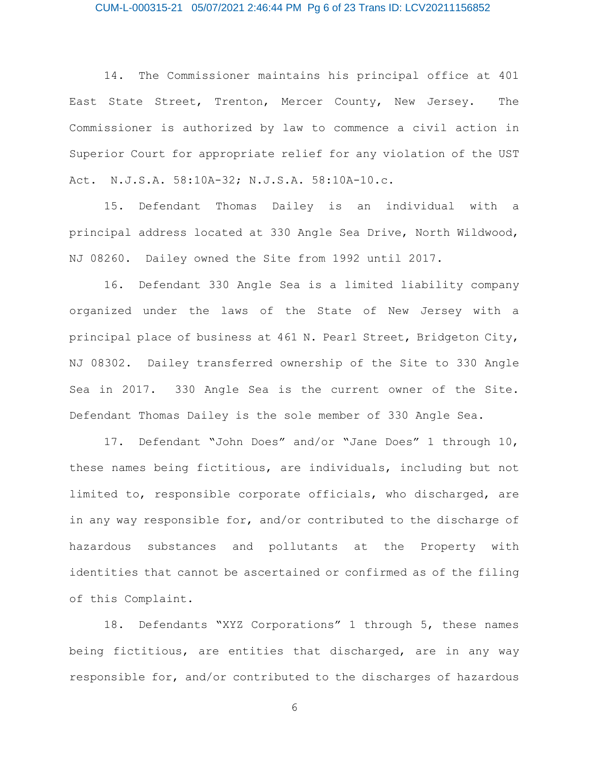### CUM-L-000315-21 05/07/2021 2:46:44 PM Pg 6 of 23 Trans ID: LCV20211156852

14. The Commissioner maintains his principal office at 401 East State Street, Trenton, Mercer County, New Jersey. The Commissioner is authorized by law to commence a civil action in Superior Court for appropriate relief for any violation of the UST Act. N.J.S.A. 58:10A-32; N.J.S.A. 58:10A-10.c.

15. Defendant Thomas Dailey is an individual with a principal address located at 330 Angle Sea Drive, North Wildwood, NJ 08260. Dailey owned the Site from 1992 until 2017.

16. Defendant 330 Angle Sea is a limited liability company organized under the laws of the State of New Jersey with a principal place of business at 461 N. Pearl Street, Bridgeton City, NJ 08302. Dailey transferred ownership of the Site to 330 Angle Sea in 2017. 330 Angle Sea is the current owner of the Site. Defendant Thomas Dailey is the sole member of 330 Angle Sea.

17. Defendant "John Does" and/or "Jane Does" 1 through 10, these names being fictitious, are individuals, including but not limited to, responsible corporate officials, who discharged, are in any way responsible for, and/or contributed to the discharge of hazardous substances and pollutants at the Property with identities that cannot be ascertained or confirmed as of the filing of this Complaint.

18. Defendants "XYZ Corporations" 1 through 5, these names being fictitious, are entities that discharged, are in any way responsible for, and/or contributed to the discharges of hazardous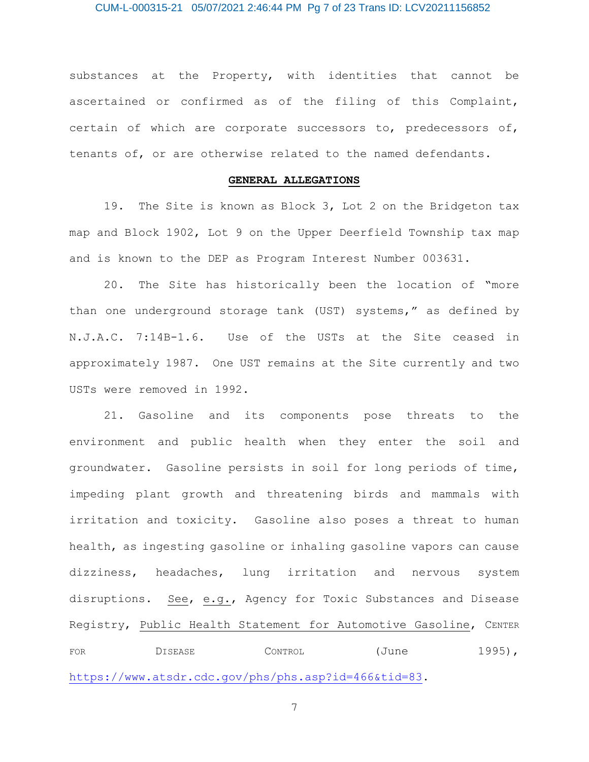### CUM-L-000315-21 05/07/2021 2:46:44 PM Pg 7 of 23 Trans ID: LCV20211156852

substances at the Property, with identities that cannot be ascertained or confirmed as of the filing of this Complaint, certain of which are corporate successors to, predecessors of, tenants of, or are otherwise related to the named defendants.

#### **GENERAL ALLEGATIONS**

19. The Site is known as Block 3, Lot 2 on the Bridgeton tax map and Block 1902, Lot 9 on the Upper Deerfield Township tax map and is known to the DEP as Program Interest Number 003631.

20. The Site has historically been the location of "more than one underground storage tank (UST) systems," as defined by N.J.A.C. 7:14B-1.6. Use of the USTs at the Site ceased in approximately 1987. One UST remains at the Site currently and two USTs were removed in 1992.

21. Gasoline and its components pose threats to the environment and public health when they enter the soil and groundwater. Gasoline persists in soil for long periods of time, impeding plant growth and threatening birds and mammals with irritation and toxicity. Gasoline also poses a threat to human health, as ingesting gasoline or inhaling gasoline vapors can cause dizziness, headaches, lung irritation and nervous system disruptions. See, e.g., Agency for Toxic Substances and Disease Registry, Public Health Statement for Automotive Gasoline, CENTER FOR DISEASE CONTROL (June 1995), https://www.atsdr.cdc.gov/phs/phs.asp?id=466&tid=83.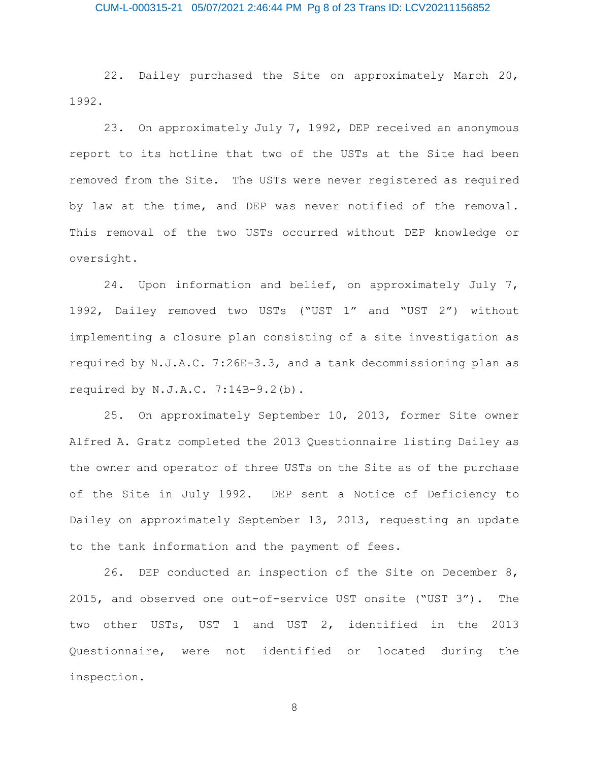### CUM-L-000315-21 05/07/2021 2:46:44 PM Pg 8 of 23 Trans ID: LCV20211156852

22. Dailey purchased the Site on approximately March 20, 1992.

23. On approximately July 7, 1992, DEP received an anonymous report to its hotline that two of the USTs at the Site had been removed from the Site. The USTs were never registered as required by law at the time, and DEP was never notified of the removal. This removal of the two USTs occurred without DEP knowledge or oversight.

24. Upon information and belief, on approximately July 7, 1992, Dailey removed two USTs ("UST 1" and "UST 2") without implementing a closure plan consisting of a site investigation as required by N.J.A.C. 7:26E-3.3, and a tank decommissioning plan as required by N.J.A.C. 7:14B-9.2(b).

25. On approximately September 10, 2013, former Site owner Alfred A. Gratz completed the 2013 Questionnaire listing Dailey as the owner and operator of three USTs on the Site as of the purchase of the Site in July 1992. DEP sent a Notice of Deficiency to Dailey on approximately September 13, 2013, requesting an update to the tank information and the payment of fees.

26. DEP conducted an inspection of the Site on December 8, 2015, and observed one out-of-service UST onsite ("UST 3"). The two other USTs, UST 1 and UST 2, identified in the 2013 Questionnaire, were not identified or located during the inspection.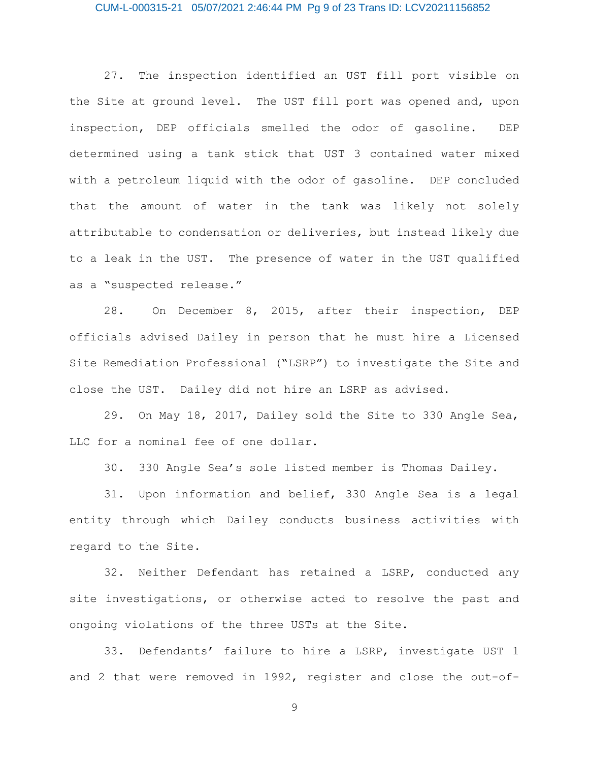### CUM-L-000315-21 05/07/2021 2:46:44 PM Pg 9 of 23 Trans ID: LCV20211156852

27. The inspection identified an UST fill port visible on the Site at ground level. The UST fill port was opened and, upon inspection, DEP officials smelled the odor of gasoline. DEP determined using a tank stick that UST 3 contained water mixed with a petroleum liquid with the odor of gasoline. DEP concluded that the amount of water in the tank was likely not solely attributable to condensation or deliveries, but instead likely due to a leak in the UST. The presence of water in the UST qualified as a "suspected release."

28. On December 8, 2015, after their inspection, DEP officials advised Dailey in person that he must hire a Licensed Site Remediation Professional ("LSRP") to investigate the Site and close the UST. Dailey did not hire an LSRP as advised.

29. On May 18, 2017, Dailey sold the Site to 330 Angle Sea, LLC for a nominal fee of one dollar.

30. 330 Angle Sea's sole listed member is Thomas Dailey.

31. Upon information and belief, 330 Angle Sea is a legal entity through which Dailey conducts business activities with regard to the Site.

32. Neither Defendant has retained a LSRP, conducted any site investigations, or otherwise acted to resolve the past and ongoing violations of the three USTs at the Site.

33. Defendants' failure to hire a LSRP, investigate UST 1 and 2 that were removed in 1992, register and close the out-of-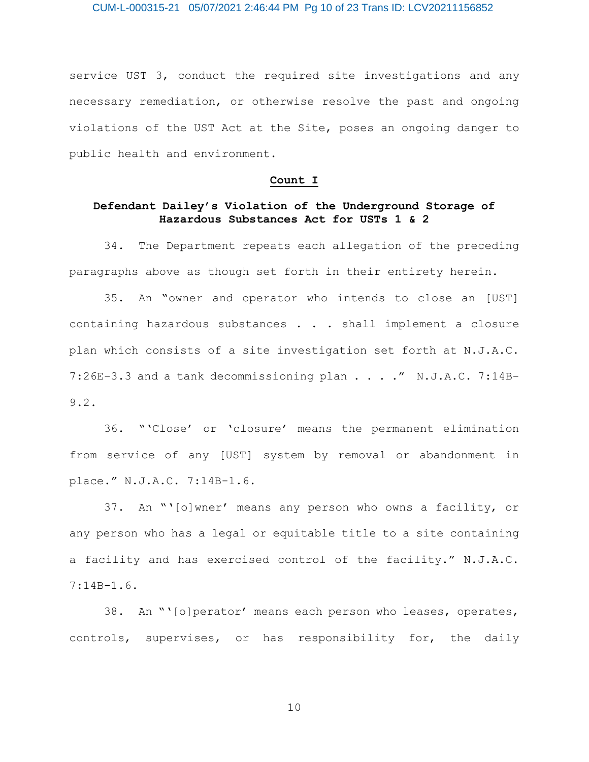CUM-L-000315-21 05/07/2021 2:46:44 PM Pg 10 of 23 Trans ID: LCV20211156852

service UST 3, conduct the required site investigations and any necessary remediation, or otherwise resolve the past and ongoing violations of the UST Act at the Site, poses an ongoing danger to public health and environment.

#### **Count I**

## **Defendant Dailey's Violation of the Underground Storage of Hazardous Substances Act for USTs 1 & 2**

34. The Department repeats each allegation of the preceding paragraphs above as though set forth in their entirety herein.

35. An "owner and operator who intends to close an [UST] containing hazardous substances . . . shall implement a closure plan which consists of a site investigation set forth at N.J.A.C. 7:26E-3.3 and a tank decommissioning plan . . . ." N.J.A.C. 7:14B-9.2.

36. "'Close' or 'closure' means the permanent elimination from service of any [UST] system by removal or abandonment in place." N.J.A.C. 7:14B-1.6.

37. An "'[o]wner' means any person who owns a facility, or any person who has a legal or equitable title to a site containing a facility and has exercised control of the facility." N.J.A.C. 7:14B-1.6.

38. An "'[o]perator' means each person who leases, operates, controls, supervises, or has responsibility for, the daily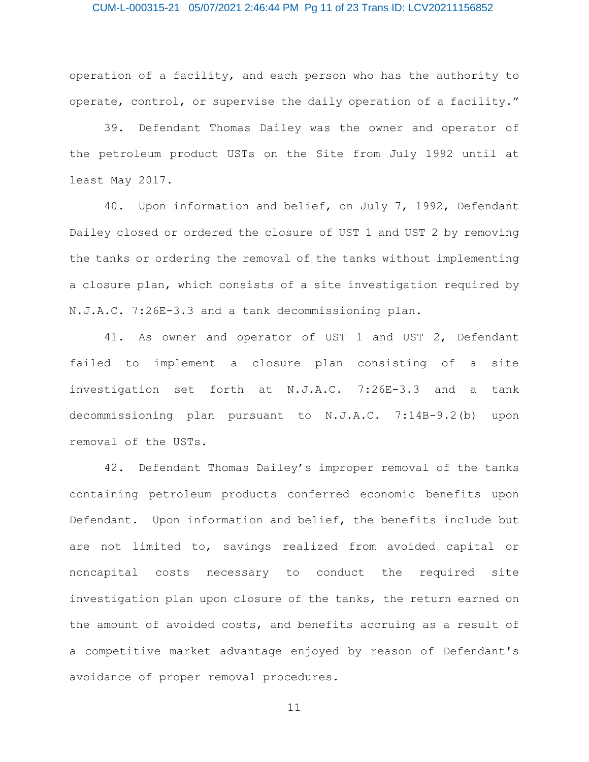### CUM-L-000315-21 05/07/2021 2:46:44 PM Pg 11 of 23 Trans ID: LCV20211156852

operation of a facility, and each person who has the authority to operate, control, or supervise the daily operation of a facility."

39. Defendant Thomas Dailey was the owner and operator of the petroleum product USTs on the Site from July 1992 until at least May 2017.

40. Upon information and belief, on July 7, 1992, Defendant Dailey closed or ordered the closure of UST 1 and UST 2 by removing the tanks or ordering the removal of the tanks without implementing a closure plan, which consists of a site investigation required by N.J.A.C. 7:26E-3.3 and a tank decommissioning plan.

41. As owner and operator of UST 1 and UST 2, Defendant failed to implement a closure plan consisting of a site investigation set forth at N.J.A.C. 7:26E-3.3 and a tank decommissioning plan pursuant to N.J.A.C. 7:14B-9.2(b) upon removal of the USTs.

42. Defendant Thomas Dailey's improper removal of the tanks containing petroleum products conferred economic benefits upon Defendant. Upon information and belief, the benefits include but are not limited to, savings realized from avoided capital or noncapital costs necessary to conduct the required site investigation plan upon closure of the tanks, the return earned on the amount of avoided costs, and benefits accruing as a result of a competitive market advantage enjoyed by reason of Defendant's avoidance of proper removal procedures.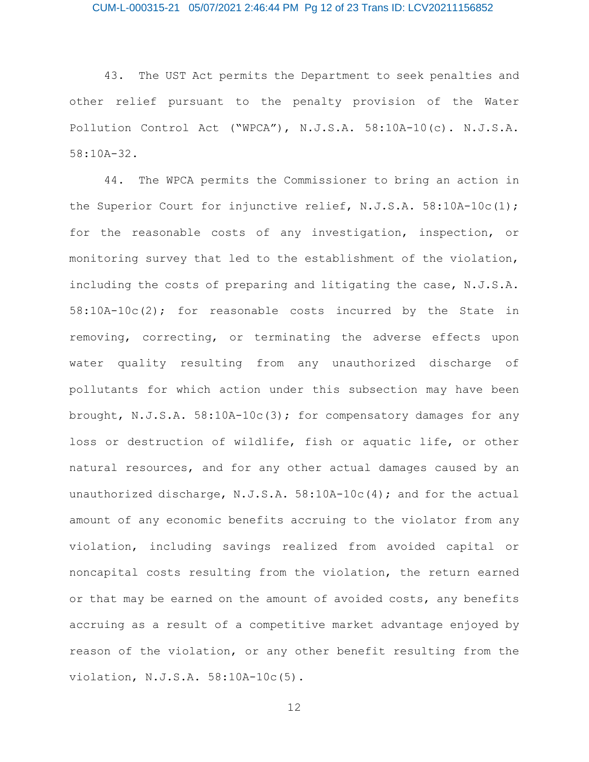43. The UST Act permits the Department to seek penalties and other relief pursuant to the penalty provision of the Water Pollution Control Act ("WPCA"), N.J.S.A. 58:10A-10(c). N.J.S.A. 58:10A-32.

44. The WPCA permits the Commissioner to bring an action in the Superior Court for injunctive relief, N.J.S.A. 58:10A-10c(1); for the reasonable costs of any investigation, inspection, or monitoring survey that led to the establishment of the violation, including the costs of preparing and litigating the case, N.J.S.A. 58:10A-10c(2); for reasonable costs incurred by the State in removing, correcting, or terminating the adverse effects upon water quality resulting from any unauthorized discharge of pollutants for which action under this subsection may have been brought, N.J.S.A. 58:10A-10c(3); for compensatory damages for any loss or destruction of wildlife, fish or aquatic life, or other natural resources, and for any other actual damages caused by an unauthorized discharge, N.J.S.A. 58:10A-10c(4); and for the actual amount of any economic benefits accruing to the violator from any violation, including savings realized from avoided capital or noncapital costs resulting from the violation, the return earned or that may be earned on the amount of avoided costs, any benefits accruing as a result of a competitive market advantage enjoyed by reason of the violation, or any other benefit resulting from the violation, N.J.S.A. 58:10A-10c(5).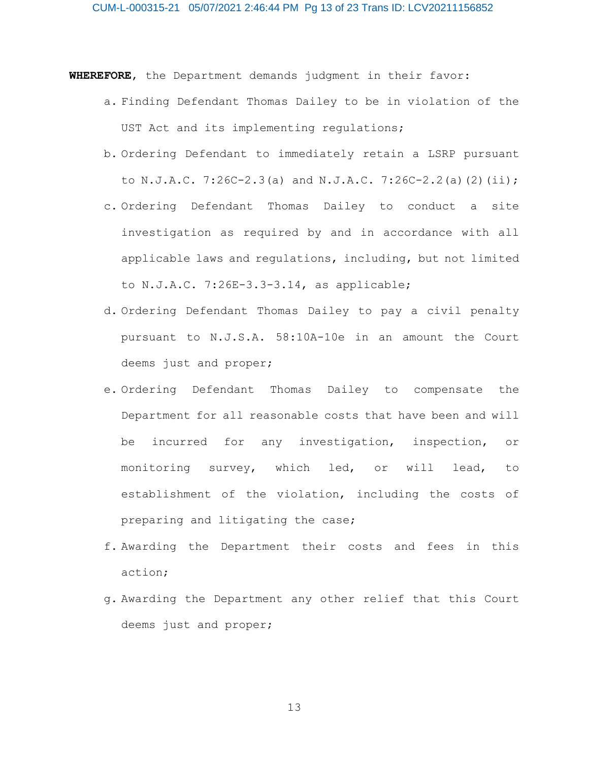**WHEREFORE**, the Department demands judgment in their favor:

- a. Finding Defendant Thomas Dailey to be in violation of the UST Act and its implementing regulations;
- b. Ordering Defendant to immediately retain a LSRP pursuant to N.J.A.C. 7:26C-2.3(a) and N.J.A.C. 7:26C-2.2(a)(2)(ii);
- c. Ordering Defendant Thomas Dailey to conduct a site investigation as required by and in accordance with all applicable laws and regulations, including, but not limited to N.J.A.C. 7:26E-3.3-3.14, as applicable;
- d. Ordering Defendant Thomas Dailey to pay a civil penalty pursuant to N.J.S.A. 58:10A-10e in an amount the Court deems just and proper;
- e. Ordering Defendant Thomas Dailey to compensate the Department for all reasonable costs that have been and will be incurred for any investigation, inspection, or monitoring survey, which led, or will lead, to establishment of the violation, including the costs of preparing and litigating the case;
- f. Awarding the Department their costs and fees in this action;
- g. Awarding the Department any other relief that this Court deems just and proper;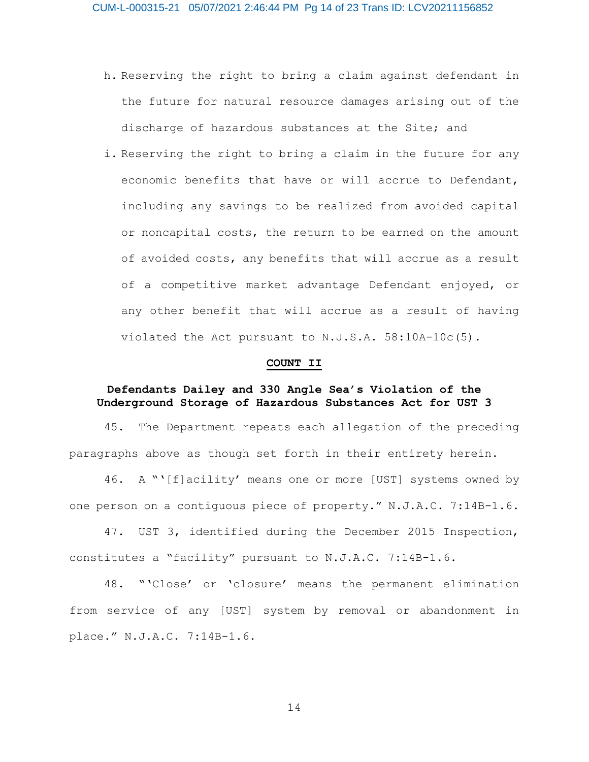- h. Reserving the right to bring a claim against defendant in the future for natural resource damages arising out of the discharge of hazardous substances at the Site; and
- i. Reserving the right to bring a claim in the future for any economic benefits that have or will accrue to Defendant, including any savings to be realized from avoided capital or noncapital costs, the return to be earned on the amount of avoided costs, any benefits that will accrue as a result of a competitive market advantage Defendant enjoyed, or any other benefit that will accrue as a result of having violated the Act pursuant to N.J.S.A. 58:10A-10c(5).

#### **COUNT II**

## **Defendants Dailey and 330 Angle Sea's Violation of the Underground Storage of Hazardous Substances Act for UST 3**

45. The Department repeats each allegation of the preceding paragraphs above as though set forth in their entirety herein.

46. A "'[f]acility' means one or more [UST] systems owned by one person on a contiguous piece of property." N.J.A.C. 7:14B-1.6.

47. UST 3, identified during the December 2015 Inspection, constitutes a "facility" pursuant to N.J.A.C. 7:14B-1.6.

48. "'Close' or 'closure' means the permanent elimination from service of any [UST] system by removal or abandonment in place." N.J.A.C. 7:14B-1.6.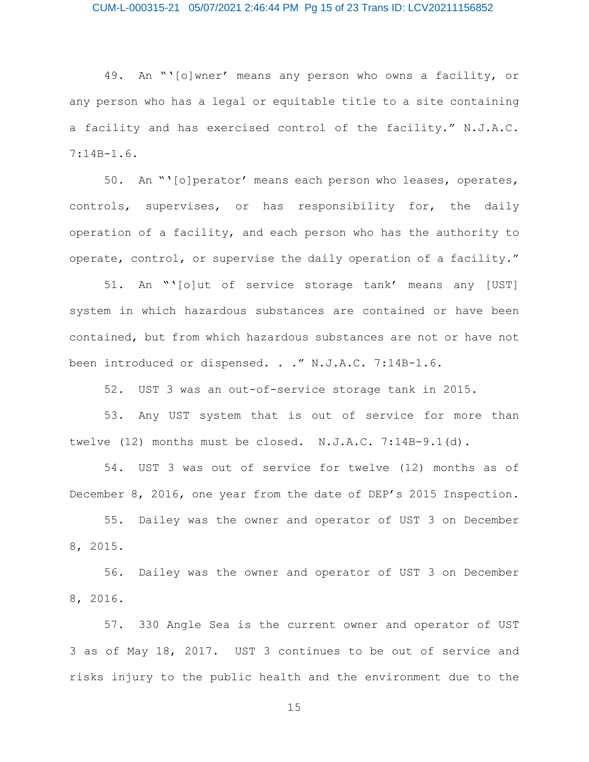### CUM-L-000315-21 05/07/2021 2:46:44 PM Pg 15 of 23 Trans ID: LCV20211156852

49. An "'[o]wner' means any person who owns a facility, or any person who has a legal or equitable title to a site containing a facility and has exercised control of the facility." N.J.A.C. 7:14B-1.6.

50. An "'[o]perator' means each person who leases, operates, controls, supervises, or has responsibility for, the daily operation of a facility, and each person who has the authority to operate, control, or supervise the daily operation of a facility."

51. An "'[o]ut of service storage tank' means any [UST] system in which hazardous substances are contained or have been contained, but from which hazardous substances are not or have not been introduced or dispensed. . ." N.J.A.C. 7:14B-1.6.

52. UST 3 was an out-of-service storage tank in 2015.

53. Any UST system that is out of service for more than twelve (12) months must be closed. N.J.A.C. 7:14B-9.1(d).

54. UST 3 was out of service for twelve (12) months as of December 8, 2016, one year from the date of DEP's 2015 Inspection.

55. Dailey was the owner and operator of UST 3 on December 8, 2015.

56. Dailey was the owner and operator of UST 3 on December 8, 2016.

57. 330 Angle Sea is the current owner and operator of UST 3 as of May 18, 2017. UST 3 continues to be out of service and risks injury to the public health and the environment due to the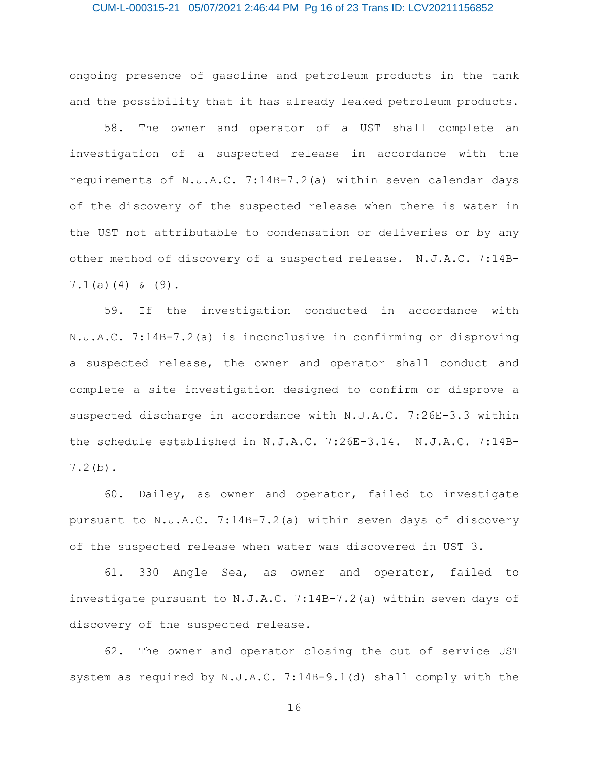# CUM-L-000315-21 05/07/2021 2:46:44 PM Pg 16 of 23 Trans ID: LCV20211156852

ongoing presence of gasoline and petroleum products in the tank and the possibility that it has already leaked petroleum products.

58. The owner and operator of a UST shall complete an investigation of a suspected release in accordance with the requirements of N.J.A.C. 7:14B-7.2(a) within seven calendar days of the discovery of the suspected release when there is water in the UST not attributable to condensation or deliveries or by any other method of discovery of a suspected release. N.J.A.C. 7:14B-7.1(a)(4) & (9).

59. If the investigation conducted in accordance with N.J.A.C. 7:14B-7.2(a) is inconclusive in confirming or disproving a suspected release, the owner and operator shall conduct and complete a site investigation designed to confirm or disprove a suspected discharge in accordance with N.J.A.C. 7:26E-3.3 within the schedule established in N.J.A.C. 7:26E-3.14. N.J.A.C. 7:14B-7.2(b).

60. Dailey, as owner and operator, failed to investigate pursuant to N.J.A.C. 7:14B-7.2(a) within seven days of discovery of the suspected release when water was discovered in UST 3.

61. 330 Angle Sea, as owner and operator, failed to investigate pursuant to N.J.A.C. 7:14B-7.2(a) within seven days of discovery of the suspected release.

62. The owner and operator closing the out of service UST system as required by N.J.A.C. 7:14B-9.1(d) shall comply with the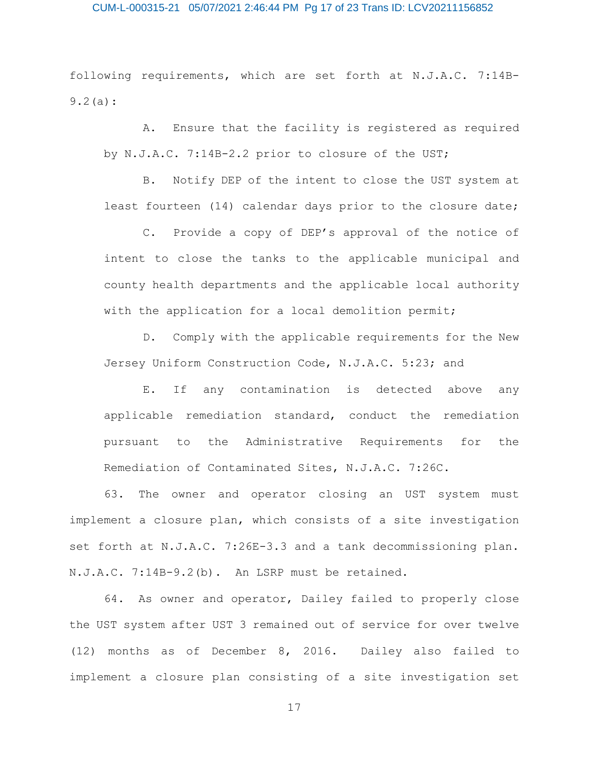### CUM-L-000315-21 05/07/2021 2:46:44 PM Pg 17 of 23 Trans ID: LCV20211156852

following requirements, which are set forth at N.J.A.C. 7:14B-9.2(a):

A. Ensure that the facility is registered as required by N.J.A.C. 7:14B-2.2 prior to closure of the UST;

B. Notify DEP of the intent to close the UST system at least fourteen (14) calendar days prior to the closure date;

C. Provide a copy of DEP's approval of the notice of intent to close the tanks to the applicable municipal and county health departments and the applicable local authority with the application for a local demolition permit;

D. Comply with the applicable requirements for the New Jersey Uniform Construction Code, N.J.A.C. 5:23; and

E. If any contamination is detected above any applicable remediation standard, conduct the remediation pursuant to the Administrative Requirements for the Remediation of Contaminated Sites, N.J.A.C. 7:26C.

63. The owner and operator closing an UST system must implement a closure plan, which consists of a site investigation set forth at N.J.A.C. 7:26E-3.3 and a tank decommissioning plan. N.J.A.C. 7:14B-9.2(b). An LSRP must be retained.

64. As owner and operator, Dailey failed to properly close the UST system after UST 3 remained out of service for over twelve (12) months as of December 8, 2016. Dailey also failed to implement a closure plan consisting of a site investigation set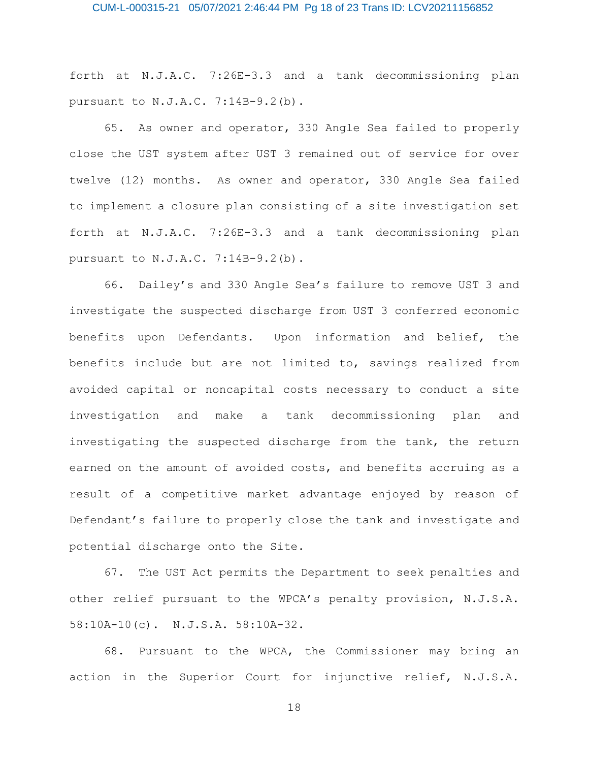forth at N.J.A.C. 7:26E-3.3 and a tank decommissioning plan pursuant to N.J.A.C. 7:14B-9.2(b).

65. As owner and operator, 330 Angle Sea failed to properly close the UST system after UST 3 remained out of service for over twelve (12) months. As owner and operator, 330 Angle Sea failed to implement a closure plan consisting of a site investigation set forth at N.J.A.C. 7:26E-3.3 and a tank decommissioning plan pursuant to N.J.A.C. 7:14B-9.2(b).

66. Dailey's and 330 Angle Sea's failure to remove UST 3 and investigate the suspected discharge from UST 3 conferred economic benefits upon Defendants. Upon information and belief, the benefits include but are not limited to, savings realized from avoided capital or noncapital costs necessary to conduct a site investigation and make a tank decommissioning plan and investigating the suspected discharge from the tank, the return earned on the amount of avoided costs, and benefits accruing as a result of a competitive market advantage enjoyed by reason of Defendant's failure to properly close the tank and investigate and potential discharge onto the Site.

67. The UST Act permits the Department to seek penalties and other relief pursuant to the WPCA's penalty provision, N.J.S.A. 58:10A-10(c). N.J.S.A. 58:10A-32.

68. Pursuant to the WPCA, the Commissioner may bring an action in the Superior Court for injunctive relief, N.J.S.A.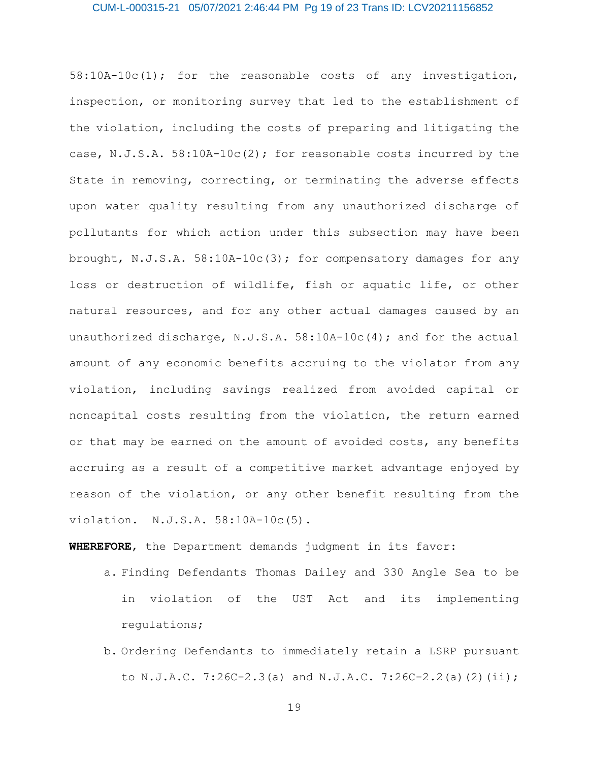58:10A-10c(1); for the reasonable costs of any investigation, inspection, or monitoring survey that led to the establishment of the violation, including the costs of preparing and litigating the case, N.J.S.A. 58:10A-10c(2); for reasonable costs incurred by the State in removing, correcting, or terminating the adverse effects upon water quality resulting from any unauthorized discharge of pollutants for which action under this subsection may have been brought, N.J.S.A. 58:10A-10c(3); for compensatory damages for any loss or destruction of wildlife, fish or aquatic life, or other natural resources, and for any other actual damages caused by an unauthorized discharge, N.J.S.A. 58:10A-10c(4); and for the actual amount of any economic benefits accruing to the violator from any violation, including savings realized from avoided capital or noncapital costs resulting from the violation, the return earned or that may be earned on the amount of avoided costs, any benefits accruing as a result of a competitive market advantage enjoyed by reason of the violation, or any other benefit resulting from the violation. N.J.S.A. 58:10A-10c(5).

**WHEREFORE**, the Department demands judgment in its favor:

- a. Finding Defendants Thomas Dailey and 330 Angle Sea to be in violation of the UST Act and its implementing regulations;
- b. Ordering Defendants to immediately retain a LSRP pursuant to N.J.A.C. 7:26C-2.3(a) and N.J.A.C. 7:26C-2.2(a)(2)(ii);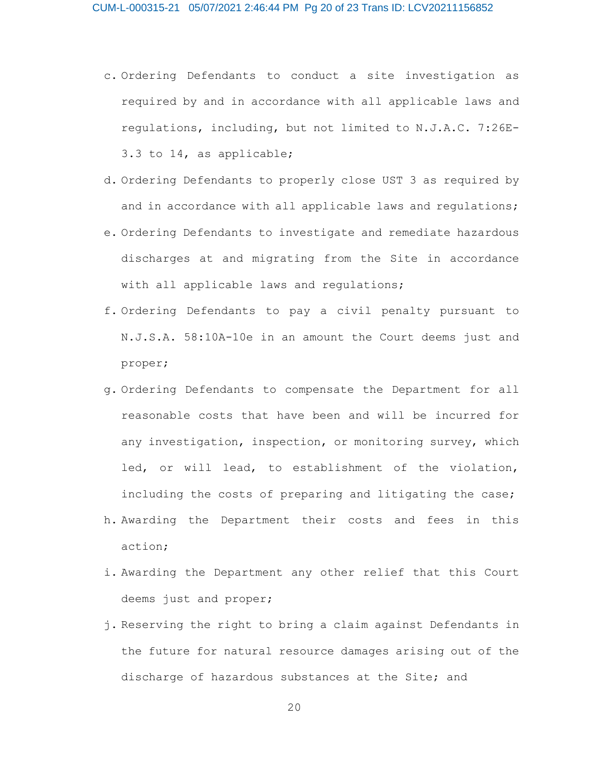- c. Ordering Defendants to conduct a site investigation as required by and in accordance with all applicable laws and regulations, including, but not limited to N.J.A.C. 7:26E-3.3 to 14, as applicable;
- d. Ordering Defendants to properly close UST 3 as required by and in accordance with all applicable laws and regulations;
- e. Ordering Defendants to investigate and remediate hazardous discharges at and migrating from the Site in accordance with all applicable laws and regulations;
- f. Ordering Defendants to pay a civil penalty pursuant to N.J.S.A. 58:10A-10e in an amount the Court deems just and proper;
- g. Ordering Defendants to compensate the Department for all reasonable costs that have been and will be incurred for any investigation, inspection, or monitoring survey, which led, or will lead, to establishment of the violation, including the costs of preparing and litigating the case;
- h. Awarding the Department their costs and fees in this action;
- i. Awarding the Department any other relief that this Court deems just and proper;
- j. Reserving the right to bring a claim against Defendants in the future for natural resource damages arising out of the discharge of hazardous substances at the Site; and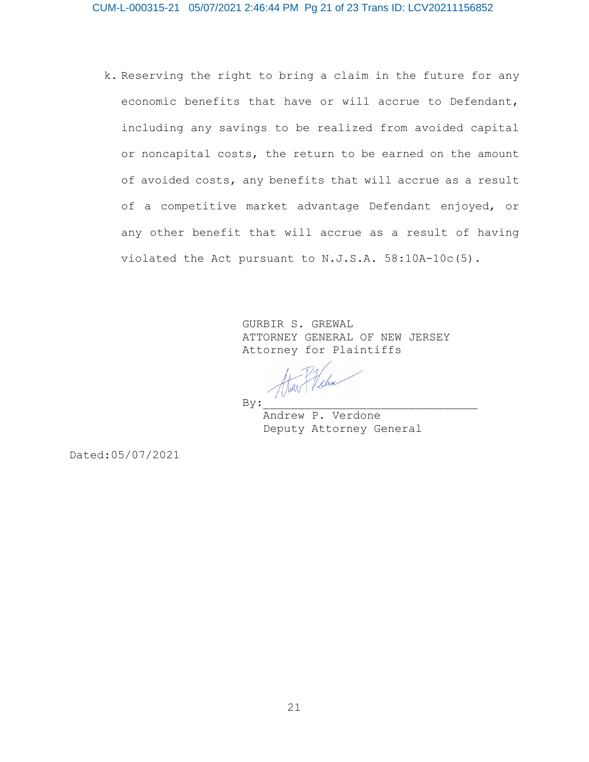k. Reserving the right to bring a claim in the future for any economic benefits that have or will accrue to Defendant, including any savings to be realized from avoided capital or noncapital costs, the return to be earned on the amount of avoided costs, any benefits that will accrue as a result of a competitive market advantage Defendant enjoyed, or any other benefit that will accrue as a result of having violated the Act pursuant to N.J.S.A. 58:10A-10c(5).

> GURBIR S. GREWAL ATTORNEY GENERAL OF NEW JERSEY Attorney for Plaintiffs

 $\text{By:}$ 

 Andrew P. Verdone Deputy Attorney General

Dated:05/07/2021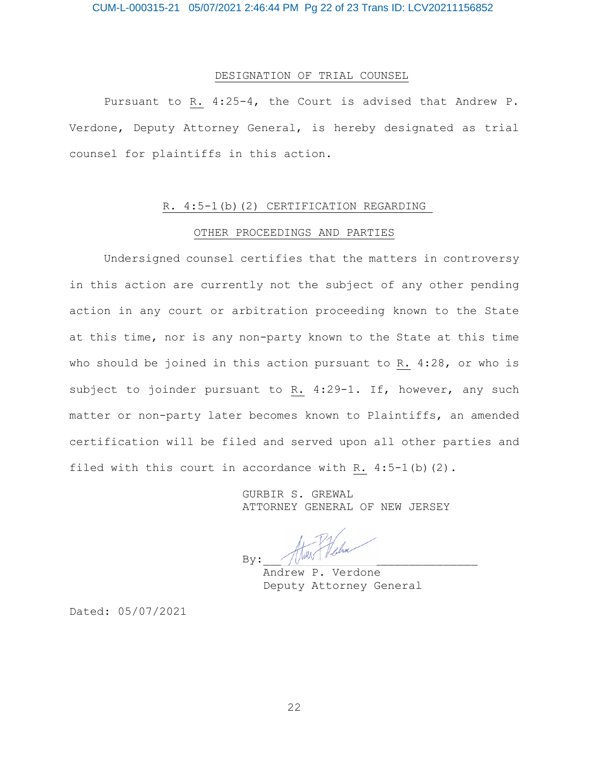### DESIGNATION OF TRIAL COUNSEL

Pursuant to R. 4:25-4, the Court is advised that Andrew P. Verdone, Deputy Attorney General, is hereby designated as trial counsel for plaintiffs in this action.

### R. 4:5-1(b)(2) CERTIFICATION REGARDING

### OTHER PROCEEDINGS AND PARTIES

Undersigned counsel certifies that the matters in controversy in this action are currently not the subject of any other pending action in any court or arbitration proceeding known to the State at this time, nor is any non-party known to the State at this time who should be joined in this action pursuant to R. 4:28, or who is subject to joinder pursuant to R. 4:29-1. If, however, any such matter or non-party later becomes known to Plaintiffs, an amended certification will be filed and served upon all other parties and filed with this court in accordance with R.  $4:5-1$  (b)  $(2)$ .

> GURBIR S. GREWAL ATTORNEY GENERAL OF NEW JERSEY

 $\text{By:}\qquad\qquad/\text{UWW}$ 

 Andrew P. Verdone Deputy Attorney General

Dated: 05/07/2021